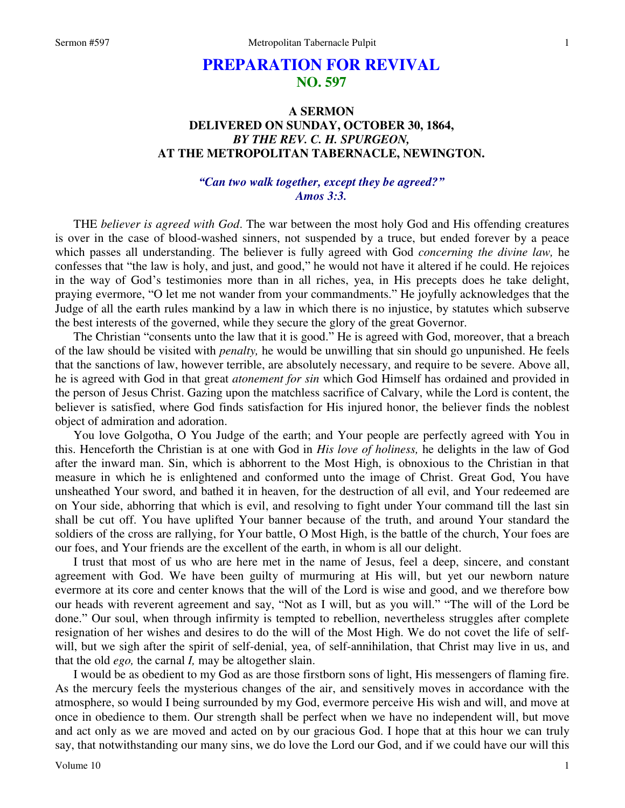# **PREPARATION FOR REVIVAL NO. 597**

## **A SERMON DELIVERED ON SUNDAY, OCTOBER 30, 1864,**  *BY THE REV. C. H. SPURGEON,*  **AT THE METROPOLITAN TABERNACLE, NEWINGTON.**

## *"Can two walk together, except they be agreed?" Amos 3:3.*

THE *believer is agreed with God*. The war between the most holy God and His offending creatures is over in the case of blood-washed sinners, not suspended by a truce, but ended forever by a peace which passes all understanding. The believer is fully agreed with God *concerning the divine law,* he confesses that "the law is holy, and just, and good," he would not have it altered if he could. He rejoices in the way of God's testimonies more than in all riches, yea, in His precepts does he take delight, praying evermore, "O let me not wander from your commandments." He joyfully acknowledges that the Judge of all the earth rules mankind by a law in which there is no injustice, by statutes which subserve the best interests of the governed, while they secure the glory of the great Governor.

The Christian "consents unto the law that it is good." He is agreed with God, moreover, that a breach of the law should be visited with *penalty,* he would be unwilling that sin should go unpunished. He feels that the sanctions of law, however terrible, are absolutely necessary, and require to be severe. Above all, he is agreed with God in that great *atonement for sin* which God Himself has ordained and provided in the person of Jesus Christ. Gazing upon the matchless sacrifice of Calvary, while the Lord is content, the believer is satisfied, where God finds satisfaction for His injured honor, the believer finds the noblest object of admiration and adoration.

You love Golgotha, O You Judge of the earth; and Your people are perfectly agreed with You in this. Henceforth the Christian is at one with God in *His love of holiness,* he delights in the law of God after the inward man. Sin, which is abhorrent to the Most High, is obnoxious to the Christian in that measure in which he is enlightened and conformed unto the image of Christ. Great God, You have unsheathed Your sword, and bathed it in heaven, for the destruction of all evil, and Your redeemed are on Your side, abhorring that which is evil, and resolving to fight under Your command till the last sin shall be cut off. You have uplifted Your banner because of the truth, and around Your standard the soldiers of the cross are rallying, for Your battle, O Most High, is the battle of the church, Your foes are our foes, and Your friends are the excellent of the earth, in whom is all our delight.

I trust that most of us who are here met in the name of Jesus, feel a deep, sincere, and constant agreement with God. We have been guilty of murmuring at His will, but yet our newborn nature evermore at its core and center knows that the will of the Lord is wise and good, and we therefore bow our heads with reverent agreement and say, "Not as I will, but as you will." "The will of the Lord be done." Our soul, when through infirmity is tempted to rebellion, nevertheless struggles after complete resignation of her wishes and desires to do the will of the Most High. We do not covet the life of selfwill, but we sigh after the spirit of self-denial, yea, of self-annihilation, that Christ may live in us, and that the old *ego,* the carnal *I,* may be altogether slain.

I would be as obedient to my God as are those firstborn sons of light, His messengers of flaming fire. As the mercury feels the mysterious changes of the air, and sensitively moves in accordance with the atmosphere, so would I being surrounded by my God, evermore perceive His wish and will, and move at once in obedience to them. Our strength shall be perfect when we have no independent will, but move and act only as we are moved and acted on by our gracious God. I hope that at this hour we can truly say, that notwithstanding our many sins, we do love the Lord our God, and if we could have our will this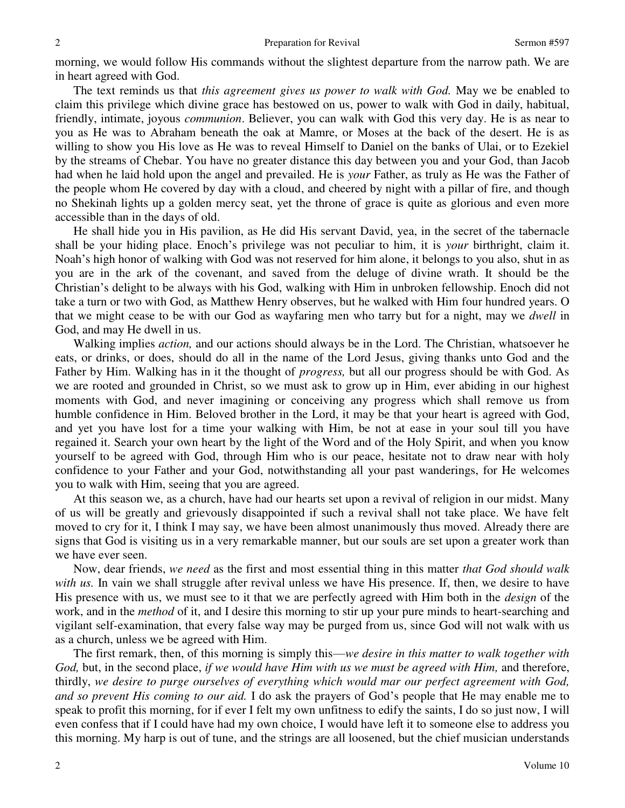morning, we would follow His commands without the slightest departure from the narrow path. We are in heart agreed with God.

The text reminds us that *this agreement gives us power to walk with God.* May we be enabled to claim this privilege which divine grace has bestowed on us, power to walk with God in daily, habitual, friendly, intimate, joyous *communion*. Believer, you can walk with God this very day. He is as near to you as He was to Abraham beneath the oak at Mamre, or Moses at the back of the desert. He is as willing to show you His love as He was to reveal Himself to Daniel on the banks of Ulai, or to Ezekiel by the streams of Chebar. You have no greater distance this day between you and your God, than Jacob had when he laid hold upon the angel and prevailed. He is *your* Father, as truly as He was the Father of the people whom He covered by day with a cloud, and cheered by night with a pillar of fire, and though no Shekinah lights up a golden mercy seat, yet the throne of grace is quite as glorious and even more accessible than in the days of old.

He shall hide you in His pavilion, as He did His servant David, yea, in the secret of the tabernacle shall be your hiding place. Enoch's privilege was not peculiar to him, it is *your* birthright, claim it. Noah's high honor of walking with God was not reserved for him alone, it belongs to you also, shut in as you are in the ark of the covenant, and saved from the deluge of divine wrath. It should be the Christian's delight to be always with his God, walking with Him in unbroken fellowship. Enoch did not take a turn or two with God, as Matthew Henry observes, but he walked with Him four hundred years. O that we might cease to be with our God as wayfaring men who tarry but for a night, may we *dwell* in God, and may He dwell in us.

Walking implies *action,* and our actions should always be in the Lord. The Christian, whatsoever he eats, or drinks, or does, should do all in the name of the Lord Jesus, giving thanks unto God and the Father by Him. Walking has in it the thought of *progress,* but all our progress should be with God. As we are rooted and grounded in Christ, so we must ask to grow up in Him, ever abiding in our highest moments with God, and never imagining or conceiving any progress which shall remove us from humble confidence in Him. Beloved brother in the Lord, it may be that your heart is agreed with God, and yet you have lost for a time your walking with Him, be not at ease in your soul till you have regained it. Search your own heart by the light of the Word and of the Holy Spirit, and when you know yourself to be agreed with God, through Him who is our peace, hesitate not to draw near with holy confidence to your Father and your God, notwithstanding all your past wanderings, for He welcomes you to walk with Him, seeing that you are agreed.

At this season we, as a church, have had our hearts set upon a revival of religion in our midst. Many of us will be greatly and grievously disappointed if such a revival shall not take place. We have felt moved to cry for it, I think I may say, we have been almost unanimously thus moved. Already there are signs that God is visiting us in a very remarkable manner, but our souls are set upon a greater work than we have ever seen.

Now, dear friends, *we need* as the first and most essential thing in this matter *that God should walk*  with us. In vain we shall struggle after revival unless we have His presence. If, then, we desire to have His presence with us, we must see to it that we are perfectly agreed with Him both in the *design* of the work, and in the *method* of it, and I desire this morning to stir up your pure minds to heart-searching and vigilant self-examination, that every false way may be purged from us, since God will not walk with us as a church, unless we be agreed with Him.

The first remark, then, of this morning is simply this—*we desire in this matter to walk together with God,* but, in the second place, *if we would have Him with us we must be agreed with Him,* and therefore, thirdly, *we desire to purge ourselves of everything which would mar our perfect agreement with God, and so prevent His coming to our aid.* I do ask the prayers of God's people that He may enable me to speak to profit this morning, for if ever I felt my own unfitness to edify the saints, I do so just now, I will even confess that if I could have had my own choice, I would have left it to someone else to address you this morning. My harp is out of tune, and the strings are all loosened, but the chief musician understands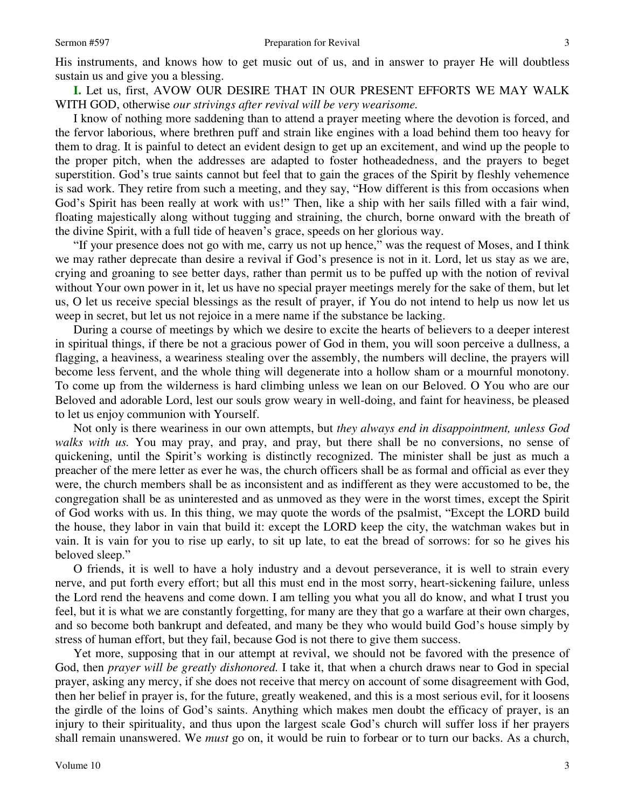**I.** Let us, first, AVOW OUR DESIRE THAT IN OUR PRESENT EFFORTS WE MAY WALK WITH GOD, otherwise *our strivings after revival will be very wearisome.*

I know of nothing more saddening than to attend a prayer meeting where the devotion is forced, and the fervor laborious, where brethren puff and strain like engines with a load behind them too heavy for them to drag. It is painful to detect an evident design to get up an excitement, and wind up the people to the proper pitch, when the addresses are adapted to foster hotheadedness, and the prayers to beget superstition. God's true saints cannot but feel that to gain the graces of the Spirit by fleshly vehemence is sad work. They retire from such a meeting, and they say, "How different is this from occasions when God's Spirit has been really at work with us!" Then, like a ship with her sails filled with a fair wind, floating majestically along without tugging and straining, the church, borne onward with the breath of the divine Spirit, with a full tide of heaven's grace, speeds on her glorious way.

"If your presence does not go with me, carry us not up hence," was the request of Moses, and I think we may rather deprecate than desire a revival if God's presence is not in it. Lord, let us stay as we are, crying and groaning to see better days, rather than permit us to be puffed up with the notion of revival without Your own power in it, let us have no special prayer meetings merely for the sake of them, but let us, O let us receive special blessings as the result of prayer, if You do not intend to help us now let us weep in secret, but let us not rejoice in a mere name if the substance be lacking.

During a course of meetings by which we desire to excite the hearts of believers to a deeper interest in spiritual things, if there be not a gracious power of God in them, you will soon perceive a dullness, a flagging, a heaviness, a weariness stealing over the assembly, the numbers will decline, the prayers will become less fervent, and the whole thing will degenerate into a hollow sham or a mournful monotony. To come up from the wilderness is hard climbing unless we lean on our Beloved. O You who are our Beloved and adorable Lord, lest our souls grow weary in well-doing, and faint for heaviness, be pleased to let us enjoy communion with Yourself.

Not only is there weariness in our own attempts, but *they always end in disappointment, unless God walks with us.* You may pray, and pray, and pray, but there shall be no conversions, no sense of quickening, until the Spirit's working is distinctly recognized. The minister shall be just as much a preacher of the mere letter as ever he was, the church officers shall be as formal and official as ever they were, the church members shall be as inconsistent and as indifferent as they were accustomed to be, the congregation shall be as uninterested and as unmoved as they were in the worst times, except the Spirit of God works with us. In this thing, we may quote the words of the psalmist, "Except the LORD build the house, they labor in vain that build it: except the LORD keep the city, the watchman wakes but in vain. It is vain for you to rise up early, to sit up late, to eat the bread of sorrows: for so he gives his beloved sleep."

O friends, it is well to have a holy industry and a devout perseverance, it is well to strain every nerve, and put forth every effort; but all this must end in the most sorry, heart-sickening failure, unless the Lord rend the heavens and come down. I am telling you what you all do know, and what I trust you feel, but it is what we are constantly forgetting, for many are they that go a warfare at their own charges, and so become both bankrupt and defeated, and many be they who would build God's house simply by stress of human effort, but they fail, because God is not there to give them success.

Yet more, supposing that in our attempt at revival, we should not be favored with the presence of God, then *prayer will be greatly dishonored.* I take it, that when a church draws near to God in special prayer, asking any mercy, if she does not receive that mercy on account of some disagreement with God, then her belief in prayer is, for the future, greatly weakened, and this is a most serious evil, for it loosens the girdle of the loins of God's saints. Anything which makes men doubt the efficacy of prayer, is an injury to their spirituality, and thus upon the largest scale God's church will suffer loss if her prayers shall remain unanswered. We *must* go on, it would be ruin to forbear or to turn our backs. As a church,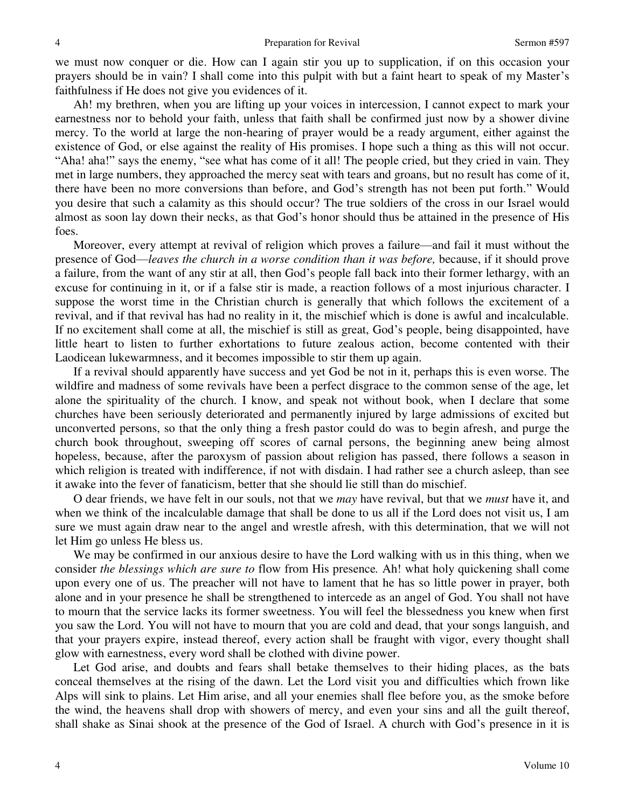we must now conquer or die. How can I again stir you up to supplication, if on this occasion your prayers should be in vain? I shall come into this pulpit with but a faint heart to speak of my Master's faithfulness if He does not give you evidences of it.

Ah! my brethren, when you are lifting up your voices in intercession, I cannot expect to mark your earnestness nor to behold your faith, unless that faith shall be confirmed just now by a shower divine mercy. To the world at large the non-hearing of prayer would be a ready argument, either against the existence of God, or else against the reality of His promises. I hope such a thing as this will not occur. "Aha! aha!" says the enemy, "see what has come of it all! The people cried, but they cried in vain. They met in large numbers, they approached the mercy seat with tears and groans, but no result has come of it, there have been no more conversions than before, and God's strength has not been put forth." Would you desire that such a calamity as this should occur? The true soldiers of the cross in our Israel would almost as soon lay down their necks, as that God's honor should thus be attained in the presence of His foes.

Moreover, every attempt at revival of religion which proves a failure—and fail it must without the presence of God—*leaves the church in a worse condition than it was before,* because, if it should prove a failure, from the want of any stir at all, then God's people fall back into their former lethargy, with an excuse for continuing in it, or if a false stir is made, a reaction follows of a most injurious character. I suppose the worst time in the Christian church is generally that which follows the excitement of a revival, and if that revival has had no reality in it, the mischief which is done is awful and incalculable. If no excitement shall come at all, the mischief is still as great, God's people, being disappointed, have little heart to listen to further exhortations to future zealous action, become contented with their Laodicean lukewarmness, and it becomes impossible to stir them up again.

If a revival should apparently have success and yet God be not in it, perhaps this is even worse. The wildfire and madness of some revivals have been a perfect disgrace to the common sense of the age, let alone the spirituality of the church. I know, and speak not without book, when I declare that some churches have been seriously deteriorated and permanently injured by large admissions of excited but unconverted persons, so that the only thing a fresh pastor could do was to begin afresh, and purge the church book throughout, sweeping off scores of carnal persons, the beginning anew being almost hopeless, because, after the paroxysm of passion about religion has passed, there follows a season in which religion is treated with indifference, if not with disdain. I had rather see a church asleep, than see it awake into the fever of fanaticism, better that she should lie still than do mischief.

O dear friends, we have felt in our souls, not that we *may* have revival, but that we *must* have it, and when we think of the incalculable damage that shall be done to us all if the Lord does not visit us, I am sure we must again draw near to the angel and wrestle afresh, with this determination, that we will not let Him go unless He bless us.

We may be confirmed in our anxious desire to have the Lord walking with us in this thing, when we consider *the blessings which are sure to* flow from His presence*.* Ah! what holy quickening shall come upon every one of us. The preacher will not have to lament that he has so little power in prayer, both alone and in your presence he shall be strengthened to intercede as an angel of God. You shall not have to mourn that the service lacks its former sweetness. You will feel the blessedness you knew when first you saw the Lord. You will not have to mourn that you are cold and dead, that your songs languish, and that your prayers expire, instead thereof, every action shall be fraught with vigor, every thought shall glow with earnestness, every word shall be clothed with divine power.

Let God arise, and doubts and fears shall betake themselves to their hiding places, as the bats conceal themselves at the rising of the dawn. Let the Lord visit you and difficulties which frown like Alps will sink to plains. Let Him arise, and all your enemies shall flee before you, as the smoke before the wind, the heavens shall drop with showers of mercy, and even your sins and all the guilt thereof, shall shake as Sinai shook at the presence of the God of Israel. A church with God's presence in it is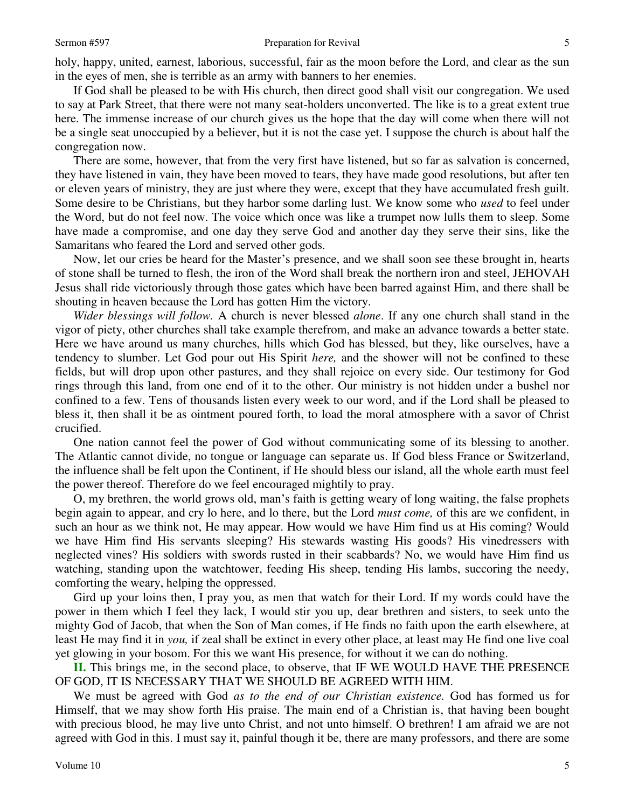holy, happy, united, earnest, laborious, successful, fair as the moon before the Lord, and clear as the sun in the eyes of men, she is terrible as an army with banners to her enemies.

If God shall be pleased to be with His church, then direct good shall visit our congregation. We used to say at Park Street, that there were not many seat-holders unconverted. The like is to a great extent true here. The immense increase of our church gives us the hope that the day will come when there will not be a single seat unoccupied by a believer, but it is not the case yet. I suppose the church is about half the congregation now.

There are some, however, that from the very first have listened, but so far as salvation is concerned, they have listened in vain, they have been moved to tears, they have made good resolutions, but after ten or eleven years of ministry, they are just where they were, except that they have accumulated fresh guilt. Some desire to be Christians, but they harbor some darling lust. We know some who *used* to feel under the Word, but do not feel now. The voice which once was like a trumpet now lulls them to sleep. Some have made a compromise, and one day they serve God and another day they serve their sins, like the Samaritans who feared the Lord and served other gods.

Now, let our cries be heard for the Master's presence, and we shall soon see these brought in, hearts of stone shall be turned to flesh, the iron of the Word shall break the northern iron and steel, JEHOVAH Jesus shall ride victoriously through those gates which have been barred against Him, and there shall be shouting in heaven because the Lord has gotten Him the victory.

*Wider blessings will follow.* A church is never blessed *alone*. If any one church shall stand in the vigor of piety, other churches shall take example therefrom, and make an advance towards a better state. Here we have around us many churches, hills which God has blessed, but they, like ourselves, have a tendency to slumber. Let God pour out His Spirit *here,* and the shower will not be confined to these fields, but will drop upon other pastures, and they shall rejoice on every side. Our testimony for God rings through this land, from one end of it to the other. Our ministry is not hidden under a bushel nor confined to a few. Tens of thousands listen every week to our word, and if the Lord shall be pleased to bless it, then shall it be as ointment poured forth, to load the moral atmosphere with a savor of Christ crucified.

One nation cannot feel the power of God without communicating some of its blessing to another. The Atlantic cannot divide, no tongue or language can separate us. If God bless France or Switzerland, the influence shall be felt upon the Continent, if He should bless our island, all the whole earth must feel the power thereof. Therefore do we feel encouraged mightily to pray.

O, my brethren, the world grows old, man's faith is getting weary of long waiting, the false prophets begin again to appear, and cry lo here, and lo there, but the Lord *must come,* of this are we confident, in such an hour as we think not, He may appear. How would we have Him find us at His coming? Would we have Him find His servants sleeping? His stewards wasting His goods? His vinedressers with neglected vines? His soldiers with swords rusted in their scabbards? No, we would have Him find us watching, standing upon the watchtower, feeding His sheep, tending His lambs, succoring the needy, comforting the weary, helping the oppressed.

Gird up your loins then, I pray you, as men that watch for their Lord. If my words could have the power in them which I feel they lack, I would stir you up, dear brethren and sisters, to seek unto the mighty God of Jacob, that when the Son of Man comes, if He finds no faith upon the earth elsewhere, at least He may find it in *you,* if zeal shall be extinct in every other place, at least may He find one live coal yet glowing in your bosom. For this we want His presence, for without it we can do nothing.

**II.** This brings me, in the second place, to observe, that IF WE WOULD HAVE THE PRESENCE OF GOD, IT IS NECESSARY THAT WE SHOULD BE AGREED WITH HIM.

We must be agreed with God *as to the end of our Christian existence.* God has formed us for Himself, that we may show forth His praise. The main end of a Christian is, that having been bought with precious blood, he may live unto Christ, and not unto himself. O brethren! I am afraid we are not agreed with God in this. I must say it, painful though it be, there are many professors, and there are some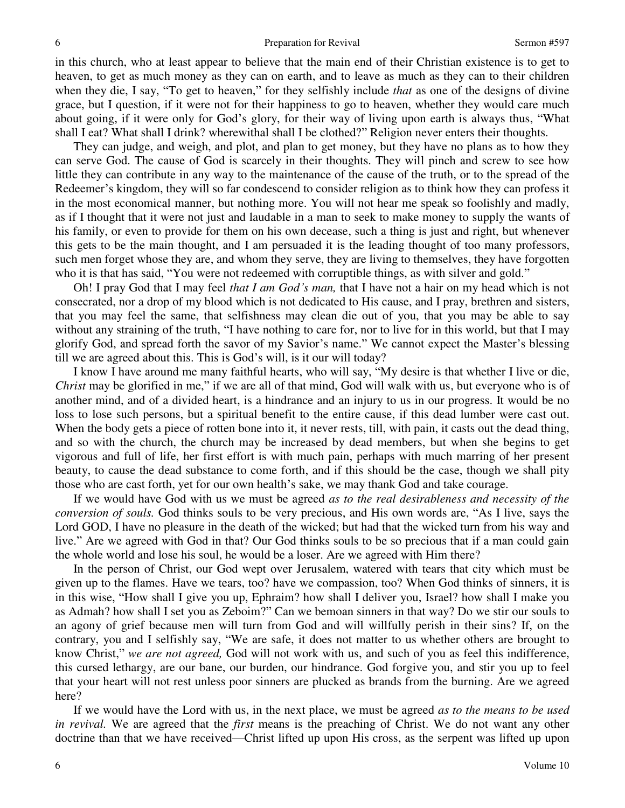in this church, who at least appear to believe that the main end of their Christian existence is to get to heaven, to get as much money as they can on earth, and to leave as much as they can to their children when they die, I say, "To get to heaven," for they selfishly include *that* as one of the designs of divine grace, but I question, if it were not for their happiness to go to heaven, whether they would care much about going, if it were only for God's glory, for their way of living upon earth is always thus, "What shall I eat? What shall I drink? wherewithal shall I be clothed?" Religion never enters their thoughts.

They can judge, and weigh, and plot, and plan to get money, but they have no plans as to how they can serve God. The cause of God is scarcely in their thoughts. They will pinch and screw to see how little they can contribute in any way to the maintenance of the cause of the truth, or to the spread of the Redeemer's kingdom, they will so far condescend to consider religion as to think how they can profess it in the most economical manner, but nothing more. You will not hear me speak so foolishly and madly, as if I thought that it were not just and laudable in a man to seek to make money to supply the wants of his family, or even to provide for them on his own decease, such a thing is just and right, but whenever this gets to be the main thought, and I am persuaded it is the leading thought of too many professors, such men forget whose they are, and whom they serve, they are living to themselves, they have forgotten who it is that has said, "You were not redeemed with corruptible things, as with silver and gold."

Oh! I pray God that I may feel *that I am God's man,* that I have not a hair on my head which is not consecrated, nor a drop of my blood which is not dedicated to His cause, and I pray, brethren and sisters, that you may feel the same, that selfishness may clean die out of you, that you may be able to say without any straining of the truth, "I have nothing to care for, nor to live for in this world, but that I may glorify God, and spread forth the savor of my Savior's name." We cannot expect the Master's blessing till we are agreed about this. This is God's will, is it our will today?

I know I have around me many faithful hearts, who will say, "My desire is that whether I live or die, *Christ* may be glorified in me," if we are all of that mind, God will walk with us, but everyone who is of another mind, and of a divided heart, is a hindrance and an injury to us in our progress. It would be no loss to lose such persons, but a spiritual benefit to the entire cause, if this dead lumber were cast out. When the body gets a piece of rotten bone into it, it never rests, till, with pain, it casts out the dead thing, and so with the church, the church may be increased by dead members, but when she begins to get vigorous and full of life, her first effort is with much pain, perhaps with much marring of her present beauty, to cause the dead substance to come forth, and if this should be the case, though we shall pity those who are cast forth, yet for our own health's sake, we may thank God and take courage.

If we would have God with us we must be agreed *as to the real desirableness and necessity of the conversion of souls.* God thinks souls to be very precious, and His own words are, "As I live, says the Lord GOD, I have no pleasure in the death of the wicked; but had that the wicked turn from his way and live." Are we agreed with God in that? Our God thinks souls to be so precious that if a man could gain the whole world and lose his soul, he would be a loser. Are we agreed with Him there?

In the person of Christ, our God wept over Jerusalem, watered with tears that city which must be given up to the flames. Have we tears, too? have we compassion, too? When God thinks of sinners, it is in this wise, "How shall I give you up, Ephraim? how shall I deliver you, Israel? how shall I make you as Admah? how shall I set you as Zeboim?" Can we bemoan sinners in that way? Do we stir our souls to an agony of grief because men will turn from God and will willfully perish in their sins? If, on the contrary, you and I selfishly say, "We are safe, it does not matter to us whether others are brought to know Christ," *we are not agreed,* God will not work with us, and such of you as feel this indifference, this cursed lethargy, are our bane, our burden, our hindrance. God forgive you, and stir you up to feel that your heart will not rest unless poor sinners are plucked as brands from the burning. Are we agreed here?

If we would have the Lord with us, in the next place, we must be agreed *as to the means to be used in revival.* We are agreed that the *first* means is the preaching of Christ. We do not want any other doctrine than that we have received—Christ lifted up upon His cross, as the serpent was lifted up upon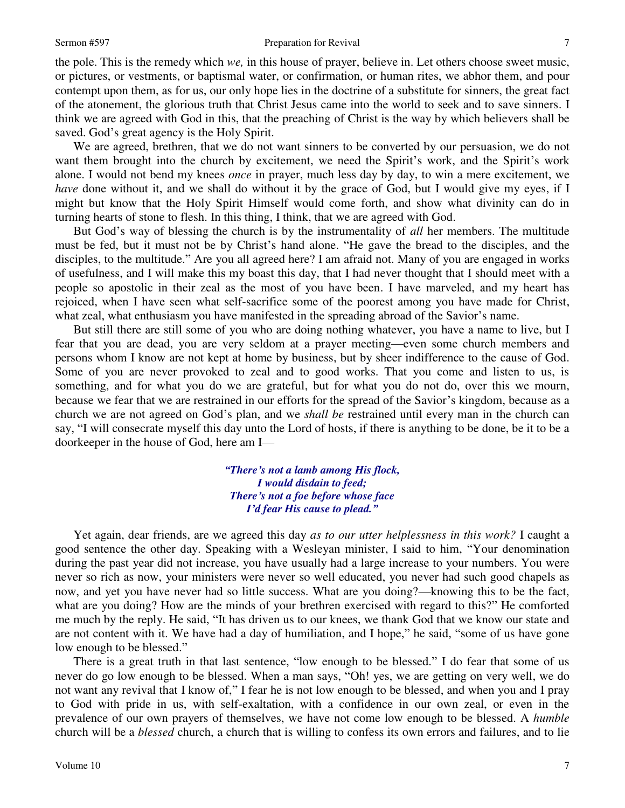### Sermon #597 Preparation for Revival

the pole. This is the remedy which *we,* in this house of prayer, believe in. Let others choose sweet music, or pictures, or vestments, or baptismal water, or confirmation, or human rites, we abhor them, and pour contempt upon them, as for us, our only hope lies in the doctrine of a substitute for sinners, the great fact of the atonement, the glorious truth that Christ Jesus came into the world to seek and to save sinners. I think we are agreed with God in this, that the preaching of Christ is the way by which believers shall be saved. God's great agency is the Holy Spirit.

We are agreed, brethren, that we do not want sinners to be converted by our persuasion, we do not want them brought into the church by excitement, we need the Spirit's work, and the Spirit's work alone. I would not bend my knees *once* in prayer, much less day by day, to win a mere excitement, we *have* done without it, and we shall do without it by the grace of God, but I would give my eyes, if I might but know that the Holy Spirit Himself would come forth, and show what divinity can do in turning hearts of stone to flesh. In this thing, I think, that we are agreed with God.

But God's way of blessing the church is by the instrumentality of *all* her members. The multitude must be fed, but it must not be by Christ's hand alone. "He gave the bread to the disciples, and the disciples, to the multitude." Are you all agreed here? I am afraid not. Many of you are engaged in works of usefulness, and I will make this my boast this day, that I had never thought that I should meet with a people so apostolic in their zeal as the most of you have been. I have marveled, and my heart has rejoiced, when I have seen what self-sacrifice some of the poorest among you have made for Christ, what zeal, what enthusiasm you have manifested in the spreading abroad of the Savior's name.

But still there are still some of you who are doing nothing whatever, you have a name to live, but I fear that you are dead, you are very seldom at a prayer meeting—even some church members and persons whom I know are not kept at home by business, but by sheer indifference to the cause of God. Some of you are never provoked to zeal and to good works. That you come and listen to us, is something, and for what you do we are grateful, but for what you do not do, over this we mourn, because we fear that we are restrained in our efforts for the spread of the Savior's kingdom, because as a church we are not agreed on God's plan, and we *shall be* restrained until every man in the church can say, "I will consecrate myself this day unto the Lord of hosts, if there is anything to be done, be it to be a doorkeeper in the house of God, here am I—

> *"There's not a lamb among His flock, I would disdain to feed; There's not a foe before whose face I'd fear His cause to plead."*

Yet again, dear friends, are we agreed this day *as to our utter helplessness in this work?* I caught a good sentence the other day. Speaking with a Wesleyan minister, I said to him, "Your denomination during the past year did not increase, you have usually had a large increase to your numbers. You were never so rich as now, your ministers were never so well educated, you never had such good chapels as now, and yet you have never had so little success. What are you doing?—knowing this to be the fact, what are you doing? How are the minds of your brethren exercised with regard to this?" He comforted me much by the reply. He said, "It has driven us to our knees, we thank God that we know our state and are not content with it. We have had a day of humiliation, and I hope," he said, "some of us have gone low enough to be blessed."

There is a great truth in that last sentence, "low enough to be blessed." I do fear that some of us never do go low enough to be blessed. When a man says, "Oh! yes, we are getting on very well, we do not want any revival that I know of," I fear he is not low enough to be blessed, and when you and I pray to God with pride in us, with self-exaltation, with a confidence in our own zeal, or even in the prevalence of our own prayers of themselves, we have not come low enough to be blessed. A *humble* church will be a *blessed* church, a church that is willing to confess its own errors and failures, and to lie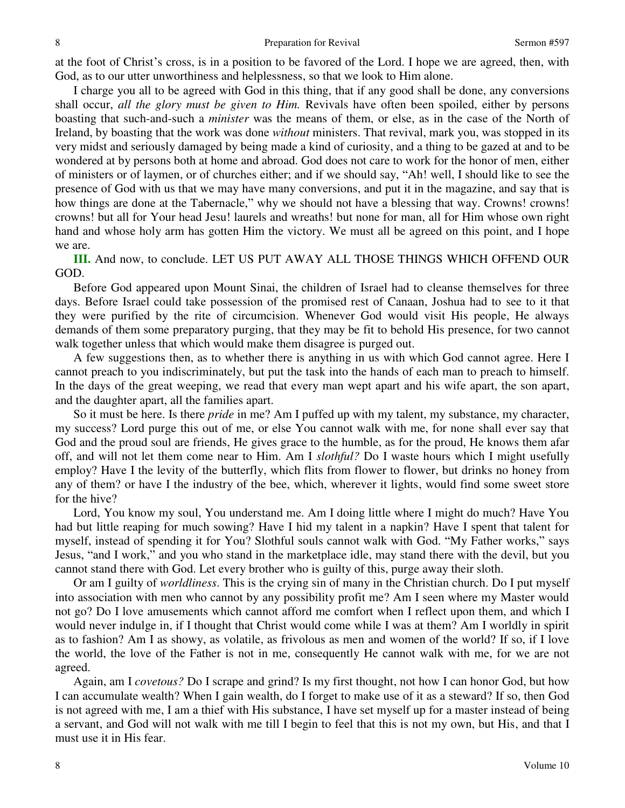at the foot of Christ's cross, is in a position to be favored of the Lord. I hope we are agreed, then, with God, as to our utter unworthiness and helplessness, so that we look to Him alone.

I charge you all to be agreed with God in this thing, that if any good shall be done, any conversions shall occur, *all the glory must be given to Him.* Revivals have often been spoiled, either by persons boasting that such-and-such a *minister* was the means of them, or else, as in the case of the North of Ireland, by boasting that the work was done *without* ministers. That revival, mark you, was stopped in its very midst and seriously damaged by being made a kind of curiosity, and a thing to be gazed at and to be wondered at by persons both at home and abroad. God does not care to work for the honor of men, either of ministers or of laymen, or of churches either; and if we should say, "Ah! well, I should like to see the presence of God with us that we may have many conversions, and put it in the magazine, and say that is how things are done at the Tabernacle," why we should not have a blessing that way. Crowns! crowns! crowns! but all for Your head Jesu! laurels and wreaths! but none for man, all for Him whose own right hand and whose holy arm has gotten Him the victory. We must all be agreed on this point, and I hope we are.

**III.** And now, to conclude. LET US PUT AWAY ALL THOSE THINGS WHICH OFFEND OUR GOD.

Before God appeared upon Mount Sinai, the children of Israel had to cleanse themselves for three days. Before Israel could take possession of the promised rest of Canaan, Joshua had to see to it that they were purified by the rite of circumcision. Whenever God would visit His people, He always demands of them some preparatory purging, that they may be fit to behold His presence, for two cannot walk together unless that which would make them disagree is purged out.

A few suggestions then, as to whether there is anything in us with which God cannot agree. Here I cannot preach to you indiscriminately, but put the task into the hands of each man to preach to himself. In the days of the great weeping, we read that every man wept apart and his wife apart, the son apart, and the daughter apart, all the families apart.

So it must be here. Is there *pride* in me? Am I puffed up with my talent, my substance, my character, my success? Lord purge this out of me, or else You cannot walk with me, for none shall ever say that God and the proud soul are friends, He gives grace to the humble, as for the proud, He knows them afar off, and will not let them come near to Him. Am I *slothful?* Do I waste hours which I might usefully employ? Have I the levity of the butterfly, which flits from flower to flower, but drinks no honey from any of them? or have I the industry of the bee, which, wherever it lights, would find some sweet store for the hive?

Lord, You know my soul, You understand me. Am I doing little where I might do much? Have You had but little reaping for much sowing? Have I hid my talent in a napkin? Have I spent that talent for myself, instead of spending it for You? Slothful souls cannot walk with God. "My Father works," says Jesus, "and I work," and you who stand in the marketplace idle, may stand there with the devil, but you cannot stand there with God. Let every brother who is guilty of this, purge away their sloth.

Or am I guilty of *worldliness*. This is the crying sin of many in the Christian church. Do I put myself into association with men who cannot by any possibility profit me? Am I seen where my Master would not go? Do I love amusements which cannot afford me comfort when I reflect upon them, and which I would never indulge in, if I thought that Christ would come while I was at them? Am I worldly in spirit as to fashion? Am I as showy, as volatile, as frivolous as men and women of the world? If so, if I love the world, the love of the Father is not in me, consequently He cannot walk with me, for we are not agreed.

Again, am I *covetous?* Do I scrape and grind? Is my first thought, not how I can honor God, but how I can accumulate wealth? When I gain wealth, do I forget to make use of it as a steward? If so, then God is not agreed with me, I am a thief with His substance, I have set myself up for a master instead of being a servant, and God will not walk with me till I begin to feel that this is not my own, but His, and that I must use it in His fear.